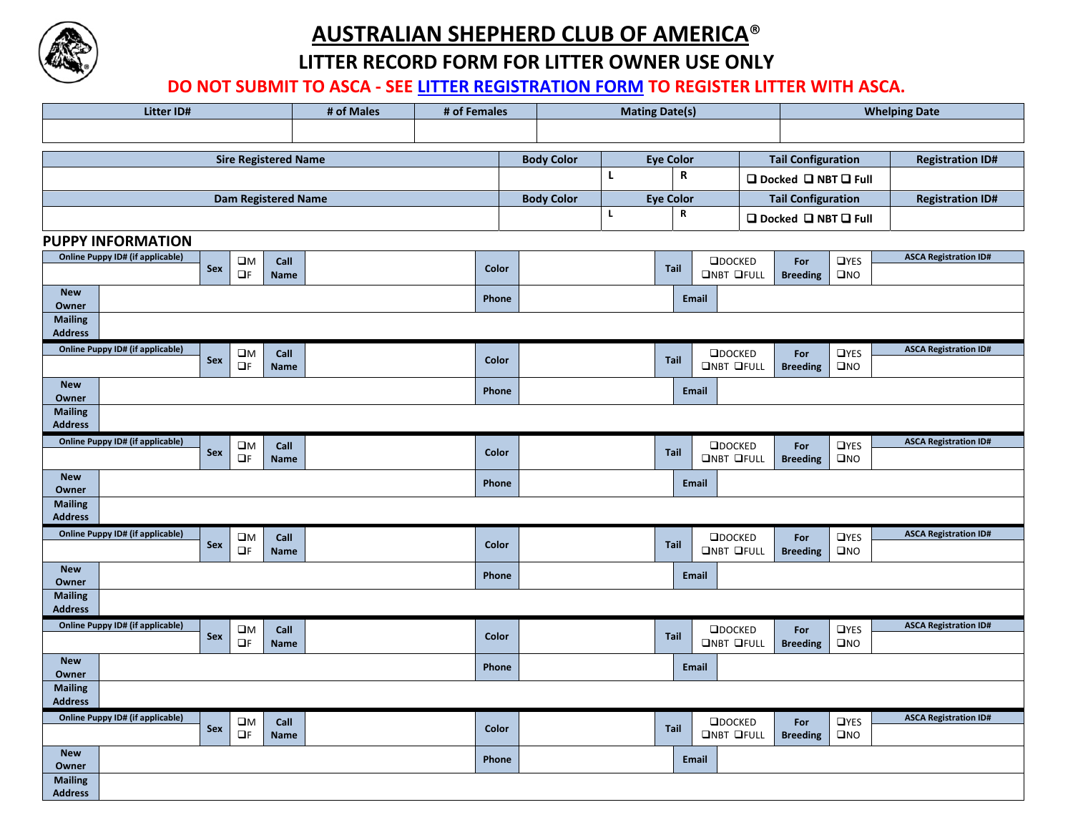

## **AUSTRALIAN SHEPHERD CLUB OF AMERICA**®

**LITTER RECORD FORM FOR LITTER OWNER USE ONLY**

**DO NOT SUBMIT TO ASCA ‐ SEE LITTER REGISTRATION FORM TO REGISTER LITTER WITH ASCA.**

| <b>Litter ID#</b>                                              | # of Males | # of Females      | <b>Mating Date(s)</b> |                                      |                                    | <b>Whelping Date</b>                                  |                              |  |  |  |
|----------------------------------------------------------------|------------|-------------------|-----------------------|--------------------------------------|------------------------------------|-------------------------------------------------------|------------------------------|--|--|--|
|                                                                |            |                   |                       |                                      |                                    |                                                       |                              |  |  |  |
|                                                                |            |                   |                       |                                      |                                    |                                                       |                              |  |  |  |
| <b>Sire Registered Name</b>                                    |            |                   | <b>Body Color</b>     | <b>Eye Color</b><br>$\mathbf R$<br>L |                                    | <b>Tail Configuration</b>                             | <b>Registration ID#</b>      |  |  |  |
|                                                                |            |                   |                       |                                      |                                    | □ Docked □ NBT □ Full                                 |                              |  |  |  |
| <b>Dam Registered Name</b>                                     |            | <b>Body Color</b> | <b>Eye Color</b>      |                                      | <b>Tail Configuration</b>          | <b>Registration ID#</b>                               |                              |  |  |  |
|                                                                |            |                   | ${\bf R}$<br>L        |                                      | □ Docked □ NBT □ Full              |                                                       |                              |  |  |  |
| <b>PUPPY INFORMATION</b>                                       |            |                   |                       |                                      |                                    |                                                       |                              |  |  |  |
| Online Puppy ID# (if applicable)<br>$\square M$<br>Call        |            |                   |                       |                                      | $\Box$ DOCKED                      | <b>OYES</b><br>For                                    | <b>ASCA Registration ID#</b> |  |  |  |
| Sex<br>$\Box$<br><br>F<br>Name                                 |            | Color             |                       | <b>Tail</b>                          | <b>ONBT OFULL</b>                  | $\square$ NO<br><b>Breeding</b>                       |                              |  |  |  |
| <b>New</b><br>Owner                                            | Phone      |                   | Email                 |                                      |                                    |                                                       |                              |  |  |  |
| <b>Mailing</b><br><b>Address</b>                               |            |                   |                       |                                      |                                    |                                                       |                              |  |  |  |
| <b>Online Puppy ID# (if applicable)</b><br>$\square M$<br>Call |            |                   |                       |                                      | $\Box$ DOCKED                      | <b>OYES</b><br>For                                    | <b>ASCA Registration ID#</b> |  |  |  |
| Sex<br>$\Box F$<br><b>Name</b>                                 |            | Color             |                       | Tail                                 | <b>ONBT OFULL</b>                  | <b>Breeding</b><br>$\square$ NO                       |                              |  |  |  |
| <b>New</b><br>Owner                                            |            | Phone             |                       |                                      | Email                              |                                                       |                              |  |  |  |
| <b>Mailing</b><br><b>Address</b>                               |            |                   |                       |                                      |                                    |                                                       |                              |  |  |  |
| <b>Online Puppy ID# (if applicable)</b><br>$\square$ M<br>Call |            |                   |                       |                                      | $\Box$ DOCKED                      | <b>OYES</b><br>For                                    | <b>ASCA Registration ID#</b> |  |  |  |
| Sex<br>$\Box F$<br><b>Name</b>                                 |            | Color             |                       | Tail                                 | <b>ONBT OFULL</b>                  | $\square$ NO<br><b>Breeding</b>                       |                              |  |  |  |
| <b>New</b><br>Owner                                            |            | Phone             |                       | <b>Email</b>                         |                                    |                                                       |                              |  |  |  |
| <b>Mailing</b><br><b>Address</b>                               |            |                   |                       |                                      |                                    |                                                       |                              |  |  |  |
| <b>Online Puppy ID# (if applicable)</b><br>$\square M$<br>Call |            |                   |                       |                                      | $\Box$ DOCKED                      | <b>OYES</b><br>For                                    | <b>ASCA Registration ID#</b> |  |  |  |
| Sex<br>$\Box F$<br><b>Name</b>                                 |            | Color             |                       | Tail                                 | <b>ONBT OFULL</b>                  | <b>Breeding</b><br>$\square$ NO                       |                              |  |  |  |
| <b>New</b><br>Owner                                            |            | Phone             |                       |                                      | Email                              |                                                       |                              |  |  |  |
| <b>Mailing</b><br><b>Address</b>                               |            |                   |                       |                                      |                                    |                                                       |                              |  |  |  |
| <b>Online Puppy ID# (if applicable)</b><br>$\square M$         |            |                   |                       |                                      | $\Box$ DOCKED                      | $\Box$ YES                                            | <b>ASCA Registration ID#</b> |  |  |  |
| Call<br>Sex<br>$\Box F$<br><b>Name</b>                         |            | Color             |                       | Tail                                 | <b>ONBT OFULL</b>                  | For<br><b>Breeding</b><br>$\square$ NO                |                              |  |  |  |
| <b>New</b><br>Owner                                            |            | Phone             |                       |                                      | <b>Email</b>                       |                                                       |                              |  |  |  |
| <b>Mailing</b><br><b>Address</b>                               |            |                   |                       |                                      |                                    |                                                       |                              |  |  |  |
| <b>Online Puppy ID# (if applicable)</b>                        |            |                   |                       |                                      |                                    |                                                       | <b>ASCA Registration ID#</b> |  |  |  |
| $\square$ M<br>Call<br>Sex<br>$\Box F$<br>Name                 |            | Color             |                       | Tail                                 | $\Box$ DOCKED<br><b>ONBT OFULL</b> | <b>OYES</b><br>For<br>$\square$ NO<br><b>Breeding</b> |                              |  |  |  |
| <b>New</b><br>Owner                                            |            | Phone             |                       |                                      | Email                              |                                                       |                              |  |  |  |
| <b>Mailing</b><br><b>Address</b>                               |            |                   |                       |                                      |                                    |                                                       |                              |  |  |  |